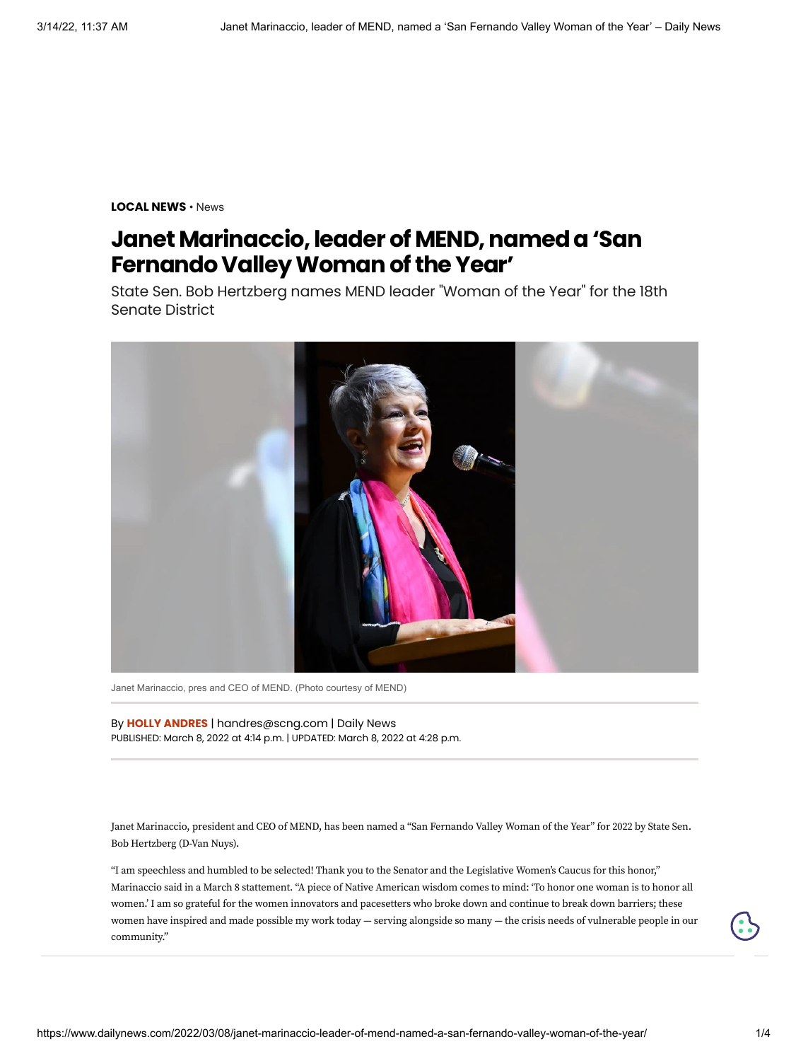**[LOCAL](https://www.dailynews.com/local-news/) NEWS** • News

## **Janet Marinaccio, leader of MEND, named a 'San Fernando ValleyWomanof theYear'**

State Sen. Bob Hertzberg names MEND leader "Woman of the Year" for the 18th Senate District



Janet Marinaccio, pres and CEO of MEND. (Photo courtesy of MEND)

By **HOLLY [ANDRES](https://www.dailynews.com/author/holly-andres/)** | [handres@scng.com](mailto:handres@scng.com) | Daily News PUBLISHED: March 8, 2022 at 4:14 p.m. | UPDATED: March 8, 2022 at 4:28 p.m.

Janet Marinaccio, president and CEO of MEND, has been named a "San Fernando Valley Woman of the Year" for 2022 by State Sen. Bob Hertzberg (D-Van Nuys).

"I am speechless and humbled to be selected! Thank you to the Senator and the Legislative Women's Caucus for this honor," Marinaccio said in a March 8 stattement. "A piece of Native American wisdom comes to mind: "To honor one woman is to honor all women.' I am so grateful for the women innovators and pacesetters who broke down and continue to break down barriers; these women have inspired and made possible my work today — serving alongside so many — the crisis needs of vulnerable people in our community."

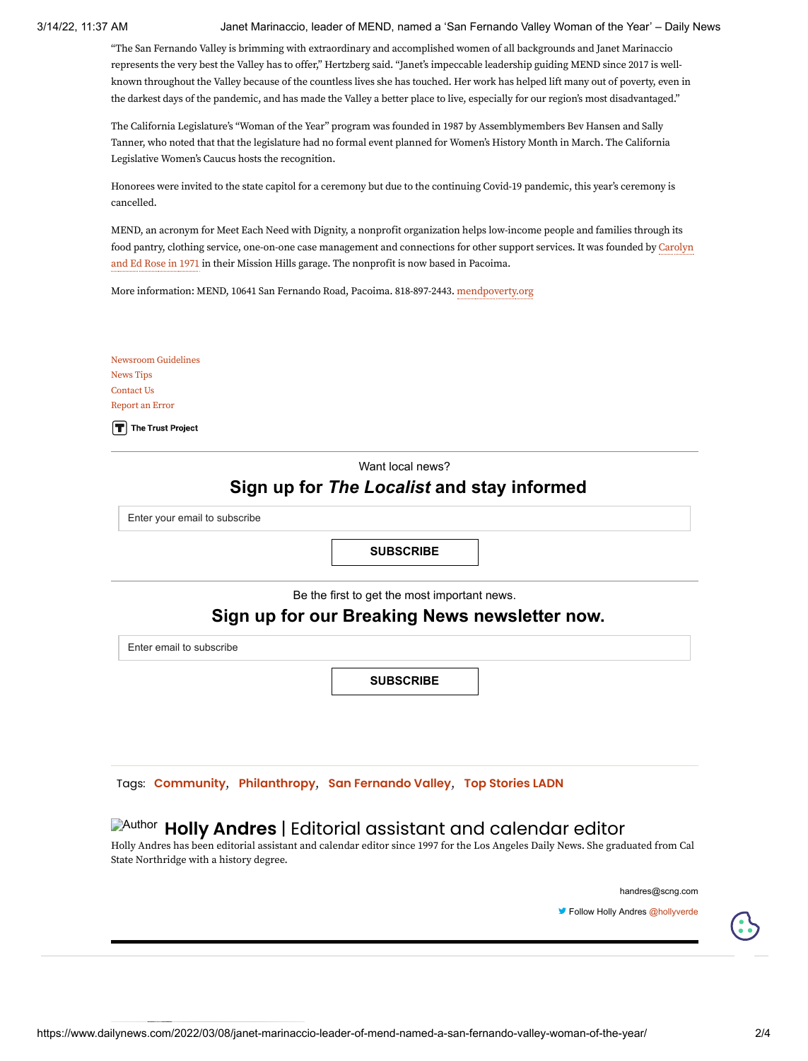3/14/22, 11:37 AM Janet Marinaccio, leader of MEND, named a 'San Fernando Valley Woman of the Year' – Daily News

"The San Fernando Valley is brimming with extraordinary and accomplished women of all backgrounds and Janet Marinaccio represents the very best the Valley has to offer," Hertzberg said. "Janet's impeccable leadership guiding MEND since 2017 is wellknown throughout the Valley because of the countless lives she has touched. Her work has helped lift many out of poverty, even in the darkest days of the pandemic, and has made the Valley a better place to live, especially for our region's most disadvantaged."

The California Legislature's "Woman of the Year" program was founded in 1987 by Assemblymembers Bev Hansen and Sally Tanner, who noted that that the legislature had no formal event planned for Women's History Month in March. The California Legislative Women's Caucus hosts the recognition.

Honorees were invited to the state capitol for a ceremony but due to the continuing Covid-19 pandemic, this year's ceremony is cancelled.

MEND, an acronym for Meet Each Need with Dignity, a nonprofit organization helps low-income people and families through its food pantry, clothing service, one-on-one case management and connections for other support services. It was founded by Carolyn and Ed Rose in 1971 in their Mission Hills garage. The nonprofit is now based in Pacoima.

More information: MEND, 10641 San Fernando Road, Pacoima. 818-897-2443. mendpoverty.org

Newsroom Guidelines News Tips Contact Us Report an Error

 $\boxed{\mathbf{T}}$  The Trust Project

Want local news?

## **Sign up for** *The Localist* **and stay informed**

Enter your email to subscribe

**SUBSCRIBE**

Be the first to get the most important news.

## **Sign up for our Breaking News newsletter now.**

Enter email to subscribe

**SUBSCRIBE**

Tags: **[Community](https://www.dailynews.com/tag/community/)**, **[Philanthropy](https://www.dailynews.com/tag/philanthropy/)**, **San [Fernando](https://www.dailynews.com/tag/san-fernando-valley/) Valley**, **Top [Stories](https://www.dailynews.com/tag/top-stories-ladn/) LADN**

## Author **Holly [Andres](https://www.dailynews.com/author/holly-andres/)** | Editorial assistant and calendar editor

Holly Andres has been editorial assistant and calendar editor since 1997 for the Los Angeles Daily News. She graduated from Cal State Northridge with a history degree.

[handres@scng.com](mailto:handres@scng.com)

[Follow Holly Andres](https://twitter.com/hollyverde) @hollyverde

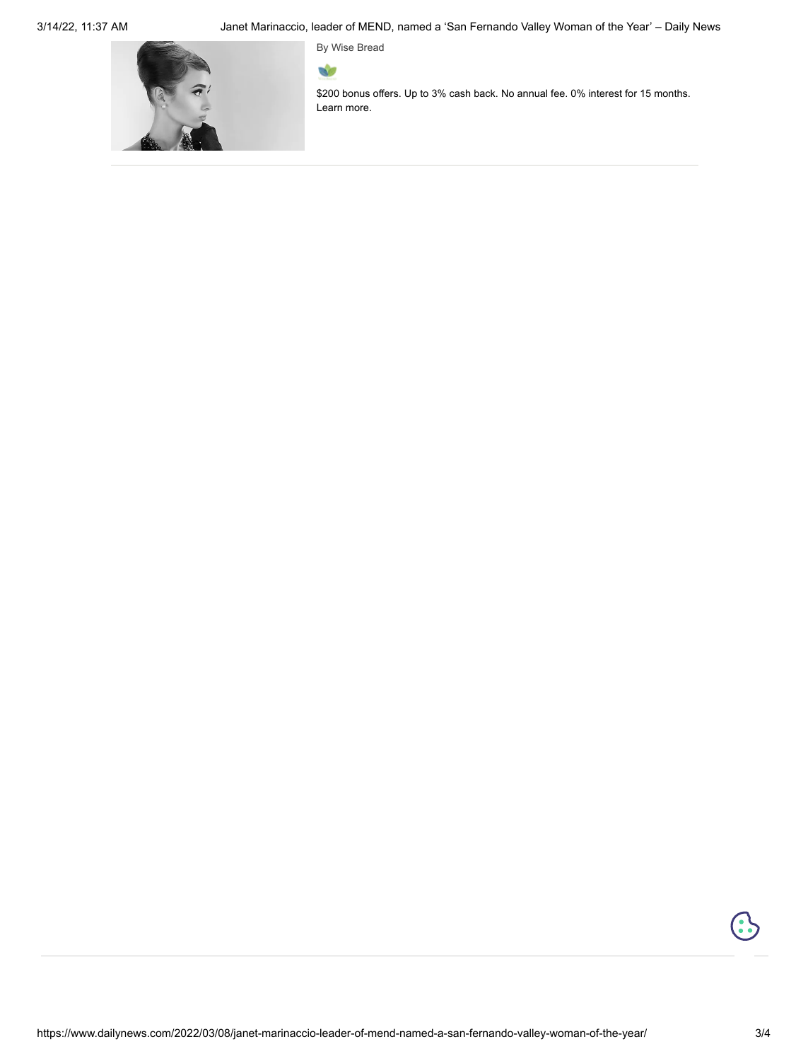3/14/22, 11:37 AM Janet Marinaccio, leader of MEND, named a 'San Fernando Valley Woman of the Year' – Daily News





\$200 bonus offers. Up to 3% cash back. No annual fee. 0% interest for 15 months. Learn more.